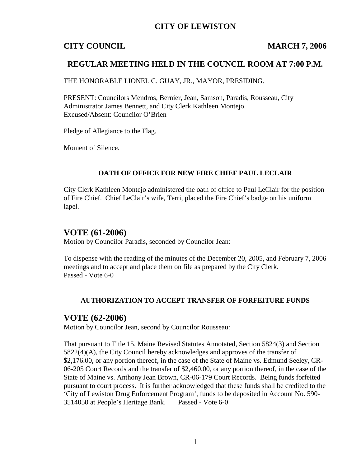## **CITY OF LEWISTON**

## **CITY COUNCIL MARCH 7, 2006**

## **REGULAR MEETING HELD IN THE COUNCIL ROOM AT 7:00 P.M.**

THE HONORABLE LIONEL C. GUAY, JR., MAYOR, PRESIDING.

PRESENT: Councilors Mendros, Bernier, Jean, Samson, Paradis, Rousseau, City Administrator James Bennett, and City Clerk Kathleen Montejo. Excused/Absent: Councilor O'Brien

Pledge of Allegiance to the Flag.

Moment of Silence.

#### **OATH OF OFFICE FOR NEW FIRE CHIEF PAUL LECLAIR**

City Clerk Kathleen Montejo administered the oath of office to Paul LeClair for the position of Fire Chief. Chief LeClair's wife, Terri, placed the Fire Chief's badge on his uniform lapel.

## **VOTE (61-2006)**

Motion by Councilor Paradis, seconded by Councilor Jean:

To dispense with the reading of the minutes of the December 20, 2005, and February 7, 2006 meetings and to accept and place them on file as prepared by the City Clerk. Passed - Vote 6-0

### **AUTHORIZATION TO ACCEPT TRANSFER OF FORFEITURE FUNDS**

### **VOTE (62-2006)**

Motion by Councilor Jean, second by Councilor Rousseau:

That pursuant to Title 15, Maine Revised Statutes Annotated, Section 5824(3) and Section 5822(4)(A), the City Council hereby acknowledges and approves of the transfer of \$2,176.00, or any portion thereof, in the case of the State of Maine vs. Edmund Seeley, CR-06-205 Court Records and the transfer of \$2,460.00, or any portion thereof, in the case of the State of Maine vs. Anthony Jean Brown, CR-06-179 Court Records. Being funds forfeited pursuant to court process. It is further acknowledged that these funds shall be credited to the 'City of Lewiston Drug Enforcement Program', funds to be deposited in Account No. 590- 3514050 at People's Heritage Bank. Passed - Vote 6-0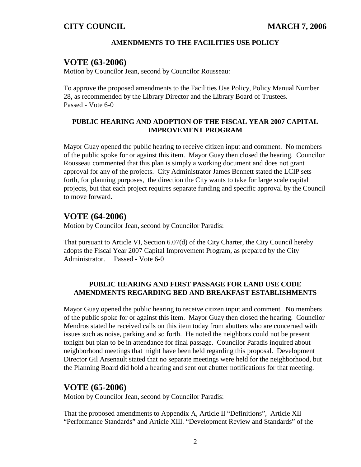## **CITY COUNCIL MARCH 7, 2006**

#### **AMENDMENTS TO THE FACILITIES USE POLICY**

## **VOTE (63-2006)**

Motion by Councilor Jean, second by Councilor Rousseau:

To approve the proposed amendments to the Facilities Use Policy, Policy Manual Number 28, as recommended by the Library Director and the Library Board of Trustees. Passed - Vote 6-0

#### **PUBLIC HEARING AND ADOPTION OF THE FISCAL YEAR 2007 CAPITAL IMPROVEMENT PROGRAM**

Mayor Guay opened the public hearing to receive citizen input and comment. No members of the public spoke for or against this item. Mayor Guay then closed the hearing. Councilor Rousseau commented that this plan is simply a working document and does not grant approval for any of the projects. City Administrator James Bennett stated the LCIP sets forth, for planning purposes, the direction the City wants to take for large scale capital projects, but that each project requires separate funding and specific approval by the Council to move forward.

## **VOTE (64-2006)**

Motion by Councilor Jean, second by Councilor Paradis:

That pursuant to Article VI, Section 6.07(d) of the City Charter, the City Council hereby adopts the Fiscal Year 2007 Capital Improvement Program, as prepared by the City Administrator. Passed - Vote 6-0

#### **PUBLIC HEARING AND FIRST PASSAGE FOR LAND USE CODE AMENDMENTS REGARDING BED AND BREAKFAST ESTABLISHMENTS**

Mayor Guay opened the public hearing to receive citizen input and comment. No members of the public spoke for or against this item. Mayor Guay then closed the hearing. Councilor Mendros stated he received calls on this item today from abutters who are concerned with issues such as noise, parking and so forth. He noted the neighbors could not be present tonight but plan to be in attendance for final passage. Councilor Paradis inquired about neighborhood meetings that might have been held regarding this proposal. Development Director Gil Arsenault stated that no separate meetings were held for the neighborhood, but the Planning Board did hold a hearing and sent out abutter notifications for that meeting.

## **VOTE (65-2006)**

Motion by Councilor Jean, second by Councilor Paradis:

That the proposed amendments to Appendix A, Article II "Definitions", Article XII "Performance Standards" and Article XIII. "Development Review and Standards" of the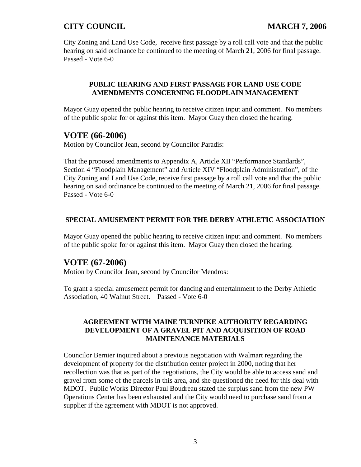# **CITY COUNCIL MARCH 7, 2006**

City Zoning and Land Use Code, receive first passage by a roll call vote and that the public hearing on said ordinance be continued to the meeting of March 21, 2006 for final passage. Passed - Vote 6-0

### **PUBLIC HEARING AND FIRST PASSAGE FOR LAND USE CODE AMENDMENTS CONCERNING FLOODPLAIN MANAGEMENT**

Mayor Guay opened the public hearing to receive citizen input and comment. No members of the public spoke for or against this item. Mayor Guay then closed the hearing.

## **VOTE (66-2006)**

Motion by Councilor Jean, second by Councilor Paradis:

That the proposed amendments to Appendix A, Article XII "Performance Standards", Section 4 "Floodplain Management" and Article XIV "Floodplain Administration", of the City Zoning and Land Use Code, receive first passage by a roll call vote and that the public hearing on said ordinance be continued to the meeting of March 21, 2006 for final passage. Passed - Vote 6-0

### **SPECIAL AMUSEMENT PERMIT FOR THE DERBY ATHLETIC ASSOCIATION**

Mayor Guay opened the public hearing to receive citizen input and comment. No members of the public spoke for or against this item. Mayor Guay then closed the hearing.

# **VOTE (67-2006)**

Motion by Councilor Jean, second by Councilor Mendros:

To grant a special amusement permit for dancing and entertainment to the Derby Athletic Association, 40 Walnut Street. Passed - Vote 6-0

#### **AGREEMENT WITH MAINE TURNPIKE AUTHORITY REGARDING DEVELOPMENT OF A GRAVEL PIT AND ACQUISITION OF ROAD MAINTENANCE MATERIALS**

Councilor Bernier inquired about a previous negotiation with Walmart regarding the development of property for the distribution center project in 2000, noting that her recollection was that as part of the negotiations, the City would be able to access sand and gravel from some of the parcels in this area, and she questioned the need for this deal with MDOT. Public Works Director Paul Boudreau stated the surplus sand from the new PW Operations Center has been exhausted and the City would need to purchase sand from a supplier if the agreement with MDOT is not approved.